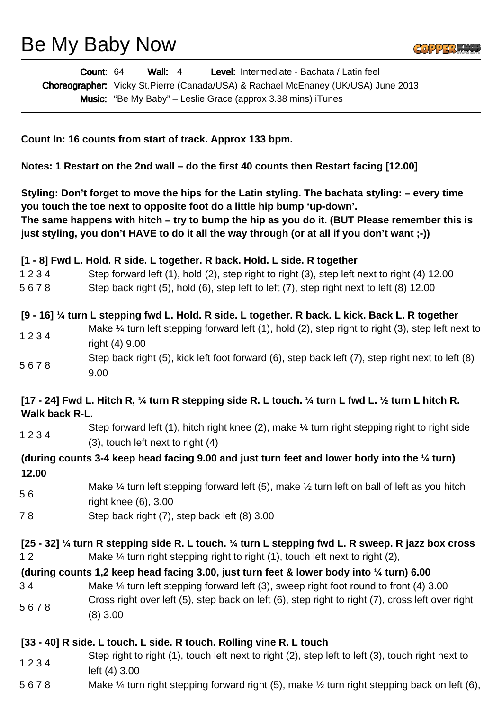Be My Baby Now

|                | Level: Intermediate - Bachata / Latin feel<br>Count: 64<br><b>Wall: 4</b>                                                                                                                                                                                                                                                                                                 |
|----------------|---------------------------------------------------------------------------------------------------------------------------------------------------------------------------------------------------------------------------------------------------------------------------------------------------------------------------------------------------------------------------|
|                | Choreographer: Vicky St.Pierre (Canada/USA) & Rachael McEnaney (UK/USA) June 2013                                                                                                                                                                                                                                                                                         |
|                | <b>Music:</b> "Be My Baby" – Leslie Grace (approx 3.38 mins) iTunes                                                                                                                                                                                                                                                                                                       |
|                |                                                                                                                                                                                                                                                                                                                                                                           |
|                |                                                                                                                                                                                                                                                                                                                                                                           |
|                | Count In: 16 counts from start of track. Approx 133 bpm.                                                                                                                                                                                                                                                                                                                  |
|                | Notes: 1 Restart on the 2nd wall – do the first 40 counts then Restart facing [12.00]                                                                                                                                                                                                                                                                                     |
|                | Styling: Don't forget to move the hips for the Latin styling. The bachata styling: - every time<br>you touch the toe next to opposite foot do a little hip bump 'up-down'.<br>The same happens with hitch – try to bump the hip as you do it. (BUT Please remember this is<br>just styling, you don't HAVE to do it all the way through (or at all if you don't want ;-)) |
|                | [1 - 8] Fwd L. Hold. R side. L together. R back. Hold. L side. R together                                                                                                                                                                                                                                                                                                 |
| 1234           | Step forward left (1), hold (2), step right to right (3), step left next to right (4) 12.00                                                                                                                                                                                                                                                                               |
| 5678           | Step back right (5), hold (6), step left to left (7), step right next to left (8) 12.00                                                                                                                                                                                                                                                                                   |
|                |                                                                                                                                                                                                                                                                                                                                                                           |
|                | [9 - 16] 1/4 turn L stepping fwd L. Hold. R side. L together. R back. L kick. Back L. R together                                                                                                                                                                                                                                                                          |
| 1234           | Make $\frac{1}{4}$ turn left stepping forward left (1), hold (2), step right to right (3), step left next to                                                                                                                                                                                                                                                              |
|                | right (4) 9.00                                                                                                                                                                                                                                                                                                                                                            |
| 5678           | Step back right (5), kick left foot forward (6), step back left (7), step right next to left (8)                                                                                                                                                                                                                                                                          |
|                | 9.00                                                                                                                                                                                                                                                                                                                                                                      |
| Walk back R-L. | [17 - 24] Fwd L. Hitch R, $\frac{1}{4}$ turn R stepping side R. L touch. $\frac{1}{4}$ turn L fwd L. $\frac{1}{2}$ turn L hitch R.                                                                                                                                                                                                                                        |
|                | Step forward left (1), hitch right knee (2), make $\frac{1}{4}$ turn right stepping right to right side                                                                                                                                                                                                                                                                   |
| 1234           | $(3)$ , touch left next to right $(4)$                                                                                                                                                                                                                                                                                                                                    |
|                | (during counts 3-4 keep head facing 9.00 and just turn feet and lower body into the $\frac{1}{4}$ turn)                                                                                                                                                                                                                                                                   |
| 12.00          |                                                                                                                                                                                                                                                                                                                                                                           |
| 56             | Make $\frac{1}{4}$ turn left stepping forward left (5), make $\frac{1}{2}$ turn left on ball of left as you hitch                                                                                                                                                                                                                                                         |
|                | right knee (6), 3.00                                                                                                                                                                                                                                                                                                                                                      |
| 78             | Step back right (7), step back left (8) 3.00                                                                                                                                                                                                                                                                                                                              |
|                |                                                                                                                                                                                                                                                                                                                                                                           |
| 12             | [25 - 32] 1/4 turn R stepping side R. L touch. 1/4 turn L stepping fwd L. R sweep. R jazz box cross<br>Make $\frac{1}{4}$ turn right stepping right to right (1), touch left next to right (2),                                                                                                                                                                           |
|                | (during counts 1,2 keep head facing 3.00, just turn feet & lower body into 1/4 turn) 6.00                                                                                                                                                                                                                                                                                 |
| 34             | Make $\frac{1}{4}$ turn left stepping forward left (3), sweep right foot round to front (4) 3.00                                                                                                                                                                                                                                                                          |
|                | Cross right over left (5), step back on left (6), step right to right (7), cross left over right                                                                                                                                                                                                                                                                          |
| 5678           | $(8)$ 3.00                                                                                                                                                                                                                                                                                                                                                                |
|                |                                                                                                                                                                                                                                                                                                                                                                           |
|                | [33 - 40] R side. L touch. L side. R touch. Rolling vine R. L touch                                                                                                                                                                                                                                                                                                       |
| 1234           | Step right to right (1), touch left next to right (2), step left to left (3), touch right next to                                                                                                                                                                                                                                                                         |
|                | left (4) 3.00                                                                                                                                                                                                                                                                                                                                                             |
| 5678           | Make $\frac{1}{4}$ turn right stepping forward right (5), make $\frac{1}{2}$ turn right stepping back on left (6),                                                                                                                                                                                                                                                        |